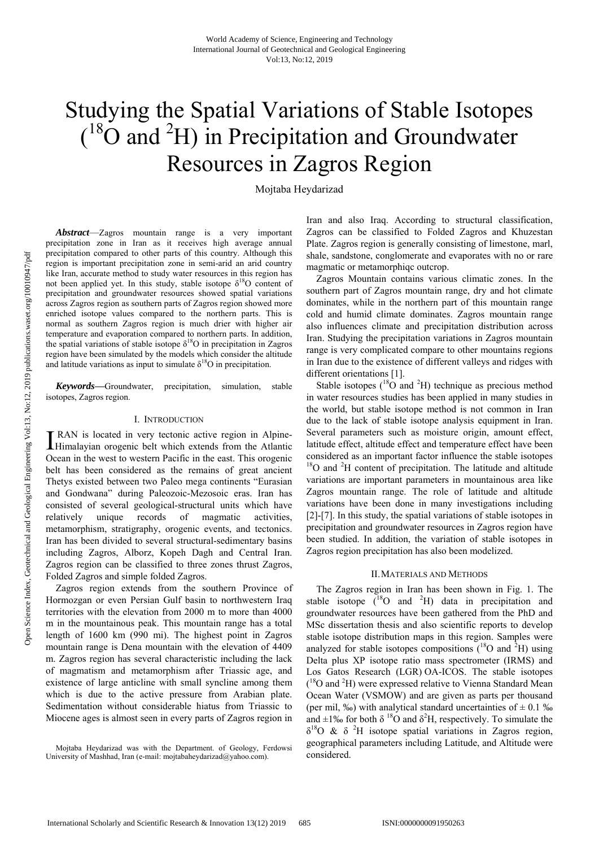# Studying the Spatial Variations of Stable Isotopes  $({}^{18}O$  and <sup>2</sup>H) in Precipitation and Groundwater Resources in Zagros Region

Mojtaba Heydarizad

*Abstract*—Zagros mountain range is a very important precipitation zone in Iran as it receives high average annual precipitation compared to other parts of this country. Although this region is important precipitation zone in semi-arid an arid country like Iran, accurate method to study water resources in this region has not been applied yet. In this study, stable isotope  $\delta^{18}O$  content of precipitation and groundwater resources showed spatial variations across Zagros region as southern parts of Zagros region showed more enriched isotope values compared to the northern parts. This is normal as southern Zagros region is much drier with higher air temperature and evaporation compared to northern parts. In addition, the spatial variations of stable isotope  $\delta^{18}$ O in precipitation in Zagros region have been simulated by the models which consider the altitude and latitude variations as input to simulate  $\delta^{18}O$  in precipitation.

*Keywords***—**Groundwater, precipitation, simulation, stable isotopes, Zagros region.

### I. INTRODUCTION

**T** RAN is located in very tectonic active region in Alpine-I RAN is located in very tectonic active region in Alpine-Himalayian orogenic belt which extends from the Atlantic Ocean in the west to western Pacific in the east. This orogenic belt has been considered as the remains of great ancient Thetys existed between two Paleo mega continents "Eurasian and Gondwana" during Paleozoic-Mezosoic eras. Iran has consisted of several geological-structural units which have relatively unique records of magmatic activities, metamorphism, stratigraphy, orogenic events, and tectonics. Iran has been divided to several structural-sedimentary basins including Zagros, Alborz, Kopeh Dagh and Central Iran. Zagros region can be classified to three zones thrust Zagros, Folded Zagros and simple folded Zagros.

Zagros region extends from the southern Province of Hormozgan or even Persian Gulf basin to northwestern Iraq territories with the elevation from 2000 m to more than 4000 m in the mountainous peak. This mountain range has a total length of 1600 km (990 mi). The highest point in Zagros mountain range is Dena mountain with the elevation of 4409 m. Zagros region has several characteristic including the lack of magmatism and metamorphism after Triassic age, and existence of large anticline with small syncline among them which is due to the active pressure from Arabian plate. Sedimentation without considerable hiatus from Triassic to Miocene ages is almost seen in every parts of Zagros region in

Iran and also Iraq. According to structural classification, Zagros can be classified to Folded Zagros and Khuzestan Plate. Zagros region is generally consisting of limestone, marl, shale, sandstone, conglomerate and evaporates with no or rare magmatic or metamorphiqc outcrop.

Zagros Mountain contains various climatic zones. In the southern part of Zagros mountain range, dry and hot climate dominates, while in the northern part of this mountain range cold and humid climate dominates. Zagros mountain range also influences climate and precipitation distribution across Iran. Studying the precipitation variations in Zagros mountain range is very complicated compare to other mountains regions in Iran due to the existence of different valleys and ridges with different orientations [1].

Stable isotopes  $(^{18}O$  and <sup>2</sup>H) technique as precious method in water resources studies has been applied in many studies in the world, but stable isotope method is not common in Iran due to the lack of stable isotope analysis equipment in Iran. Several parameters such as moisture origin, amount effect, latitude effect, altitude effect and temperature effect have been considered as an important factor influence the stable isotopes  $18$ O and  $2$ H content of precipitation. The latitude and altitude variations are important parameters in mountainous area like Zagros mountain range. The role of latitude and altitude variations have been done in many investigations including [2]-[7]. In this study, the spatial variations of stable isotopes in precipitation and groundwater resources in Zagros region have been studied. In addition, the variation of stable isotopes in Zagros region precipitation has also been modelized.

## II.MATERIALS AND METHODS

The Zagros region in Iran has been shown in Fig. 1. The stable isotope  $(^{18}O$  and <sup>2</sup>H) data in precipitation and groundwater resources have been gathered from the PhD and MSc dissertation thesis and also scientific reports to develop stable isotope distribution maps in this region. Samples were analyzed for stable isotopes compositions  $(^{18}O$  and <sup>2</sup>H) using Delta plus XP isotope ratio mass spectrometer (IRMS) and Los Gatos Research (LGR) OA-ICOS. The stable isotopes (<sup>18</sup>O and <sup>2</sup>H) were expressed relative to Vienna Standard Mean Ocean Water (VSMOW) and are given as parts per thousand (per mil, ‰) with analytical standard uncertainties of  $\pm$  0.1 ‰ and  $\pm 1\%$  for both  $\delta^{18}$ O and  $\delta^2$ H, respectively. To simulate the δ18O & δ 2H isotope spatial variations in Zagros region, geographical parameters including Latitude, and Altitude were considered.

Mojtaba Heydarizad was with the Department. of Geology, Ferdowsi University of Mashhad, Iran (e-mail: mojtabaheydarizad@yahoo.com).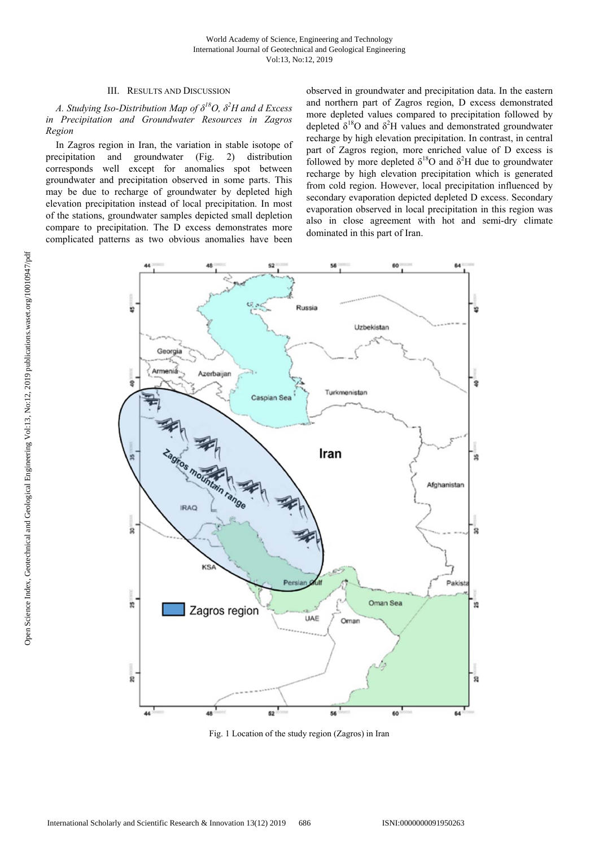## III. RESULTS AND DISCUSSION

## *A. Studying Iso-Distribution Map of δ18O, δ<sup>2</sup> H and d Excess in Precipitation and Groundwater Resources in Zagros Region*

In Zagros region in Iran, the variation in stable isotope of precipitation and groundwater (Fig. 2) distribution corresponds well except for anomalies spot between groundwater and precipitation observed in some parts. This may be due to recharge of groundwater by depleted high elevation precipitation instead of local precipitation. In most of the stations, groundwater samples depicted small depletion compare to precipitation. The D excess demonstrates more complicated patterns as two obvious anomalies have been observed in groundwater and precipitation data. In the eastern and northern part of Zagros region, D excess demonstrated more depleted values compared to precipitation followed by depleted  $\delta^{18}O$  and  $\delta^2H$  values and demonstrated groundwater recharge by high elevation precipitation. In contrast, in central part of Zagros region, more enriched value of D excess is followed by more depleted  $\delta^{18}O$  and  $\delta^2H$  due to groundwater recharge by high elevation precipitation which is generated from cold region. However, local precipitation influenced by secondary evaporation depicted depleted D excess. Secondary evaporation observed in local precipitation in this region was also in close agreement with hot and semi-dry climate dominated in this part of Iran.



Fig. 1 Location of the study region (Zagros) in Iran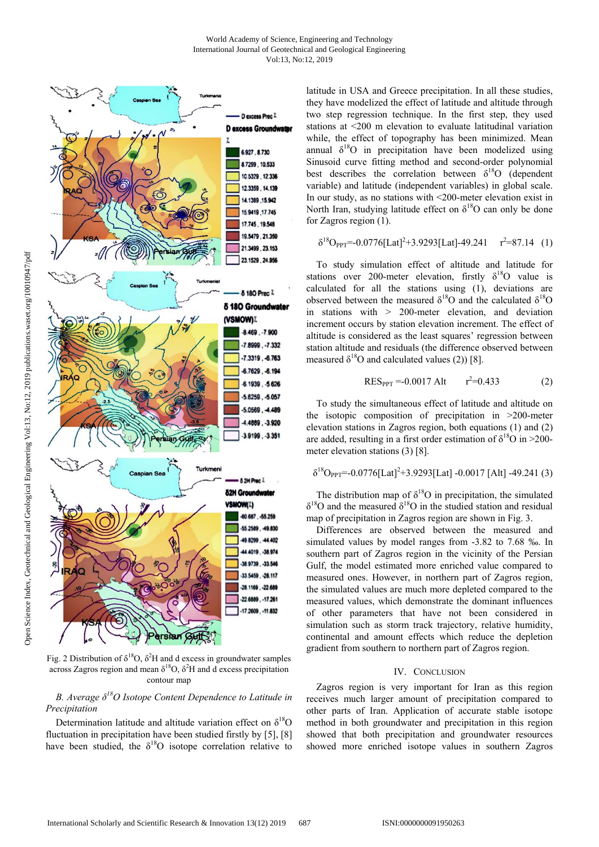

Fig. 2 Distribution of  $\delta^{18}O$ ,  $\delta^2H$  and d excess in groundwater samples across Zagros region and mean  $\delta^{18}O$ ,  $\delta^2H$  and d excess precipitation contour map

## *B. Average δ18O Isotope Content Dependence to Latitude in Precipitation*

Determination latitude and altitude variation effect on  $\delta^{18}O$ fluctuation in precipitation have been studied firstly by [5], [8] have been studied, the  $\delta^{18}O$  isotope correlation relative to latitude in USA and Greece precipitation. In all these studies, they have modelized the effect of latitude and altitude through two step regression technique. In the first step, they used stations at <200 m elevation to evaluate latitudinal variation while, the effect of topography has been minimized. Mean annual  $\delta^{18}O$  in precipitation have been modelized using Sinusoid curve fitting method and second-order polynomial best describes the correlation between  $\delta^{18}$ O (dependent variable) and latitude (independent variables) in global scale. In our study, as no stations with <200-meter elevation exist in North Iran, studying latitude effect on  $\delta^{18}$ O can only be done for Zagros region (1).

$$
\delta^{18}O_{PPT} = -0.0776 \text{[Lat]}^2 + 3.9293 \text{[Lat]} - 49.241 \quad r^2 = 87.14 \quad (1)
$$

To study simulation effect of altitude and latitude for stations over 200-meter elevation, firstly  $\delta^{18}$ O value is calculated for all the stations using (1), deviations are observed between the measured  $\delta^{18}O$  and the calculated  $\delta^{18}O$ in stations with > 200-meter elevation, and deviation increment occurs by station elevation increment. The effect of altitude is considered as the least squares' regression between station altitude and residuals (the difference observed between measured  $\delta^{18}$ O and calculated values (2)) [8].

$$
RES_{PPT} = -0.0017 \text{ Alt} \qquad r^2 = 0.433 \tag{2}
$$

To study the simultaneous effect of latitude and altitude on the isotopic composition of precipitation in >200-meter elevation stations in Zagros region, both equations (1) and (2) are added, resulting in a first order estimation of  $\delta^{18}O$  in >200meter elevation stations (3) [8].

$$
\delta^{18}O_{PPT} = -0.0776[Lat]^2 + 3.9293[Lat] - 0.0017 [Alt] - 49.241 (3)
$$

The distribution map of  $\delta^{18}O$  in precipitation, the simulated  $\delta^{18}$ O and the measured  $\delta^{18}$ O in the studied station and residual map of precipitation in Zagros region are shown in Fig. 3.

Differences are observed between the measured and simulated values by model ranges from -3.82 to 7.68 ‰. In southern part of Zagros region in the vicinity of the Persian Gulf, the model estimated more enriched value compared to measured ones. However, in northern part of Zagros region, the simulated values are much more depleted compared to the measured values, which demonstrate the dominant influences of other parameters that have not been considered in simulation such as storm track trajectory, relative humidity, continental and amount effects which reduce the depletion gradient from southern to northern part of Zagros region.

## IV. CONCLUSION

Zagros region is very important for Iran as this region receives much larger amount of precipitation compared to other parts of Iran. Application of accurate stable isotope method in both groundwater and precipitation in this region showed that both precipitation and groundwater resources showed more enriched isotope values in southern Zagros